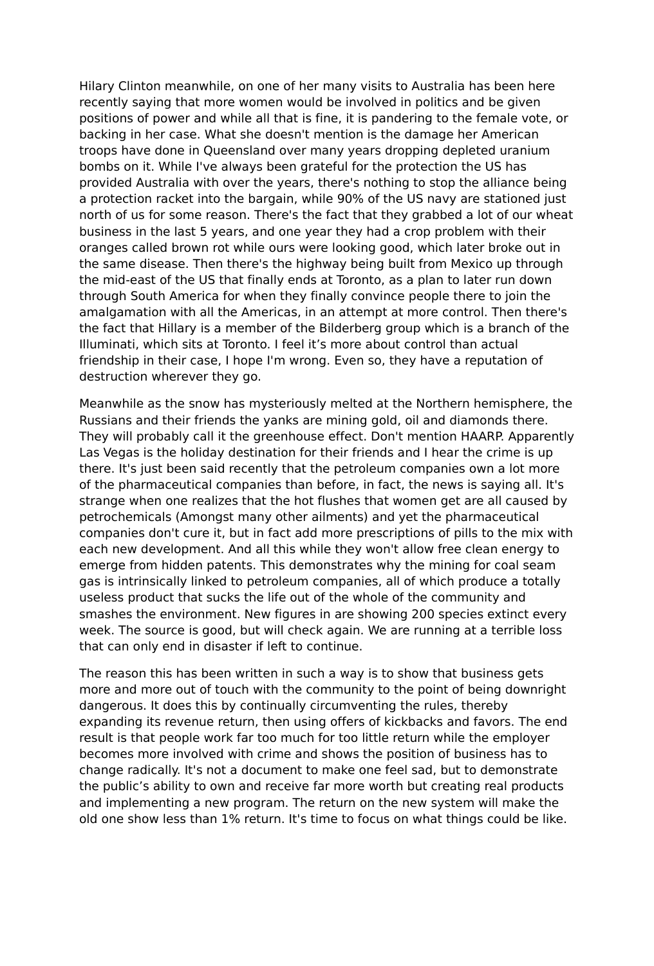Hilary Clinton meanwhile, on one of her many visits to Australia has been here recently saying that more women would be involved in politics and be given positions of power and while all that is fine, it is pandering to the female vote, or backing in her case. What she doesn't mention is the damage her American troops have done in Queensland over many years dropping depleted uranium bombs on it. While I've always been grateful for the protection the US has provided Australia with over the years, there's nothing to stop the alliance being a protection racket into the bargain, while 90% of the US navy are stationed just north of us for some reason. There's the fact that they grabbed a lot of our wheat business in the last 5 years, and one year they had a crop problem with their oranges called brown rot while ours were looking good, which later broke out in the same disease. Then there's the highway being built from Mexico up through the mid-east of the US that finally ends at Toronto, as a plan to later run down through South America for when they finally convince people there to join the amalgamation with all the Americas, in an attempt at more control. Then there's the fact that Hillary is a member of the Bilderberg group which is a branch of the Illuminati, which sits at Toronto. I feel it's more about control than actual friendship in their case, I hope I'm wrong. Even so, they have a reputation of destruction wherever they go.

Meanwhile as the snow has mysteriously melted at the Northern hemisphere, the Russians and their friends the yanks are mining gold, oil and diamonds there. They will probably call it the greenhouse effect. Don't mention HAARP. Apparently Las Vegas is the holiday destination for their friends and I hear the crime is up there. It's just been said recently that the petroleum companies own a lot more of the pharmaceutical companies than before, in fact, the news is saying all. It's strange when one realizes that the hot flushes that women get are all caused by petrochemicals (Amongst many other ailments) and yet the pharmaceutical companies don't cure it, but in fact add more prescriptions of pills to the mix with each new development. And all this while they won't allow free clean energy to emerge from hidden patents. This demonstrates why the mining for coal seam gas is intrinsically linked to petroleum companies, all of which produce a totally useless product that sucks the life out of the whole of the community and smashes the environment. New figures in are showing 200 species extinct every week. The source is good, but will check again. We are running at a terrible loss that can only end in disaster if left to continue.

The reason this has been written in such a way is to show that business gets more and more out of touch with the community to the point of being downright dangerous. It does this by continually circumventing the rules, thereby expanding its revenue return, then using offers of kickbacks and favors. The end result is that people work far too much for too little return while the employer becomes more involved with crime and shows the position of business has to change radically. It's not a document to make one feel sad, but to demonstrate the public's ability to own and receive far more worth but creating real products and implementing a new program. The return on the new system will make the old one show less than 1% return. It's time to focus on what things could be like.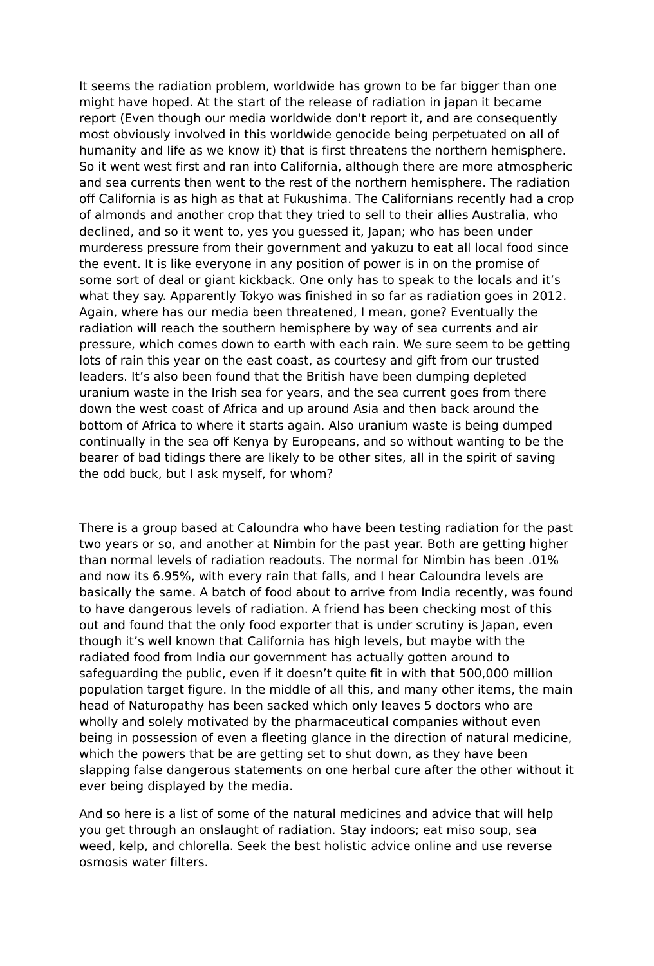It seems the radiation problem, worldwide has grown to be far bigger than one might have hoped. At the start of the release of radiation in japan it became report (Even though our media worldwide don't report it, and are consequently most obviously involved in this worldwide genocide being perpetuated on all of humanity and life as we know it) that is first threatens the northern hemisphere. So it went west first and ran into California, although there are more atmospheric and sea currents then went to the rest of the northern hemisphere. The radiation off California is as high as that at Fukushima. The Californians recently had a crop of almonds and another crop that they tried to sell to their allies Australia, who declined, and so it went to, yes you guessed it, Japan; who has been under murderess pressure from their government and yakuzu to eat all local food since the event. It is like everyone in any position of power is in on the promise of some sort of deal or giant kickback. One only has to speak to the locals and it's what they say. Apparently Tokyo was finished in so far as radiation goes in 2012. Again, where has our media been threatened, I mean, gone? Eventually the radiation will reach the southern hemisphere by way of sea currents and air pressure, which comes down to earth with each rain. We sure seem to be getting lots of rain this year on the east coast, as courtesy and gift from our trusted leaders. It's also been found that the British have been dumping depleted uranium waste in the Irish sea for years, and the sea current goes from there down the west coast of Africa and up around Asia and then back around the bottom of Africa to where it starts again. Also uranium waste is being dumped continually in the sea off Kenya by Europeans, and so without wanting to be the bearer of bad tidings there are likely to be other sites, all in the spirit of saving the odd buck, but I ask myself, for whom?

There is a group based at Caloundra who have been testing radiation for the past two years or so, and another at Nimbin for the past year. Both are getting higher than normal levels of radiation readouts. The normal for Nimbin has been .01% and now its 6.95%, with every rain that falls, and I hear Caloundra levels are basically the same. A batch of food about to arrive from India recently, was found to have dangerous levels of radiation. A friend has been checking most of this out and found that the only food exporter that is under scrutiny is Japan, even though it's well known that California has high levels, but maybe with the radiated food from India our government has actually gotten around to safeguarding the public, even if it doesn't quite fit in with that 500,000 million population target figure. In the middle of all this, and many other items, the main head of Naturopathy has been sacked which only leaves 5 doctors who are wholly and solely motivated by the pharmaceutical companies without even being in possession of even a fleeting glance in the direction of natural medicine, which the powers that be are getting set to shut down, as they have been slapping false dangerous statements on one herbal cure after the other without it ever being displayed by the media.

And so here is a list of some of the natural medicines and advice that will help you get through an onslaught of radiation. Stay indoors; eat miso soup, sea weed, kelp, and chlorella. Seek the best holistic advice online and use reverse osmosis water filters.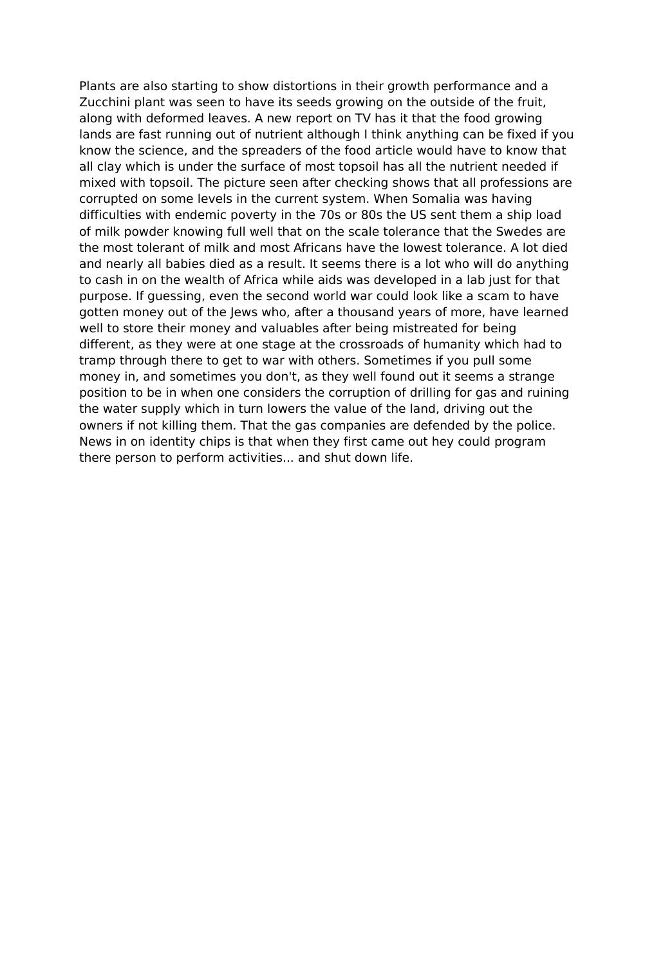Plants are also starting to show distortions in their growth performance and a Zucchini plant was seen to have its seeds growing on the outside of the fruit, along with deformed leaves. A new report on TV has it that the food growing lands are fast running out of nutrient although I think anything can be fixed if you know the science, and the spreaders of the food article would have to know that all clay which is under the surface of most topsoil has all the nutrient needed if mixed with topsoil. The picture seen after checking shows that all professions are corrupted on some levels in the current system. When Somalia was having difficulties with endemic poverty in the 70s or 80s the US sent them a ship load of milk powder knowing full well that on the scale tolerance that the Swedes are the most tolerant of milk and most Africans have the lowest tolerance. A lot died and nearly all babies died as a result. It seems there is a lot who will do anything to cash in on the wealth of Africa while aids was developed in a lab just for that purpose. If guessing, even the second world war could look like a scam to have gotten money out of the Jews who, after a thousand years of more, have learned well to store their money and valuables after being mistreated for being different, as they were at one stage at the crossroads of humanity which had to tramp through there to get to war with others. Sometimes if you pull some money in, and sometimes you don't, as they well found out it seems a strange position to be in when one considers the corruption of drilling for gas and ruining the water supply which in turn lowers the value of the land, driving out the owners if not killing them. That the gas companies are defended by the police. News in on identity chips is that when they first came out hey could program there person to perform activities... and shut down life.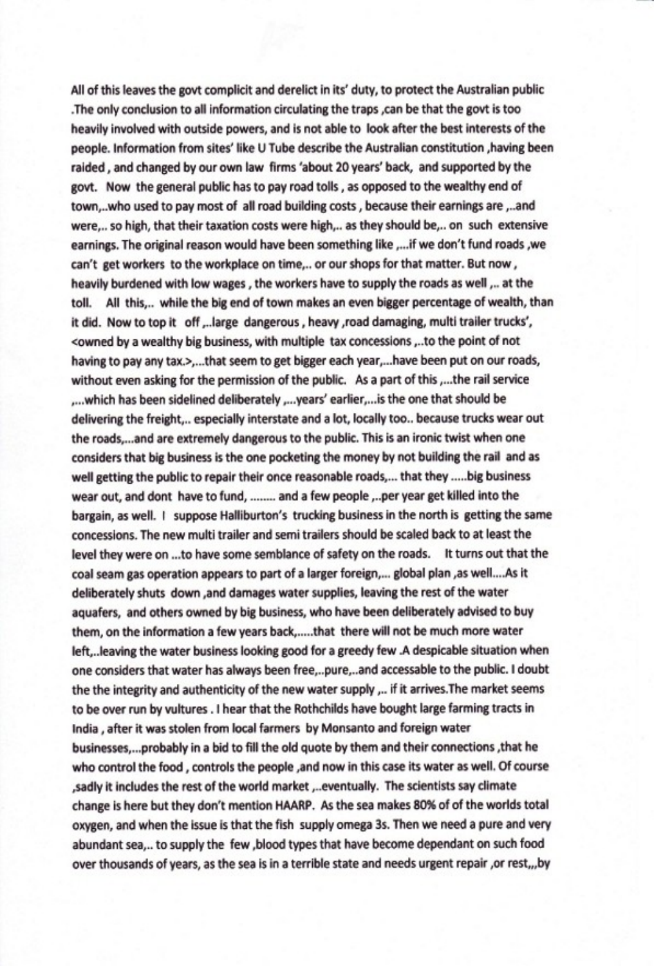All of this leaves the govt complicit and derelict in its' duty, to protect the Australian public The only conclusion to all information circulating the traps ,can be that the govt is too heavily involved with outside powers, and is not able to look after the best interests of the people. Information from sites' like U Tube describe the Australian constitution , having been raided, and changed by our own law firms 'about 20 years' back, and supported by the govt. Now the general public has to pay road tolls, as opposed to the wealthy end of town,..who used to pay most of all road building costs, because their earnings are,..and were,.. so high, that their taxation costs were high,.. as they should be,.. on such extensive earnings. The original reason would have been something like ,...if we don't fund roads , we can't get workers to the workplace on time,.. or our shops for that matter. But now, heavily burdened with low wages, the workers have to supply the roads as well,.. at the All this,.. while the big end of town makes an even bigger percentage of wealth, than toll. it did. Now to top it off ,..large dangerous, heavy ,road damaging, multi trailer trucks', <owned by a wealthy big business, with multiple tax concessions ...to the point of not having to pay any tax.>,...that seem to get bigger each year,...have been put on our roads, without even asking for the permission of the public. As a part of this ,...the rail service ,...which has been sidelined deliberately ,...years' earlier,...is the one that should be delivering the freight,.. especially interstate and a lot, locally too.. because trucks wear out the roads,...and are extremely dangerous to the public. This is an ironic twist when one considers that big business is the one pocketing the money by not building the rail and as well getting the public to repair their once reasonable roads,... that they .....big business wear out, and dont have to fund, ........ and a few people ,..per year get killed into the bargain, as well. I suppose Halliburton's trucking business in the north is getting the same concessions. The new multi trailer and semi trailers should be scaled back to at least the level they were on ...to have some semblance of safety on the roads. It turns out that the coal seam gas operation appears to part of a larger foreign,... global plan ,as well....As it deliberately shuts down , and damages water supplies, leaving the rest of the water aquafers, and others owned by big business, who have been deliberately advised to buy them, on the information a few years back,.....that there will not be much more water left,..leaving the water business looking good for a greedy few .A despicable situation when one considers that water has always been free,..pure,..and accessable to the public. I doubt the the integrity and authenticity of the new water supply ,.. if it arrives. The market seems to be over run by vultures . I hear that the Rothchilds have bought large farming tracts in India, after it was stolen from local farmers by Monsanto and foreign water businesses,...probably in a bid to fill the old quote by them and their connections , that he who control the food, controls the people, and now in this case its water as well. Of course ,sadly it includes the rest of the world market ,..eventually. The scientists say climate change is here but they don't mention HAARP. As the sea makes 80% of of the worlds total oxygen, and when the issue is that the fish supply omega 3s. Then we need a pure and very abundant sea,.. to supply the few ,blood types that have become dependant on such food over thousands of years, as the sea is in a terrible state and needs urgent repair , or rest, ,, by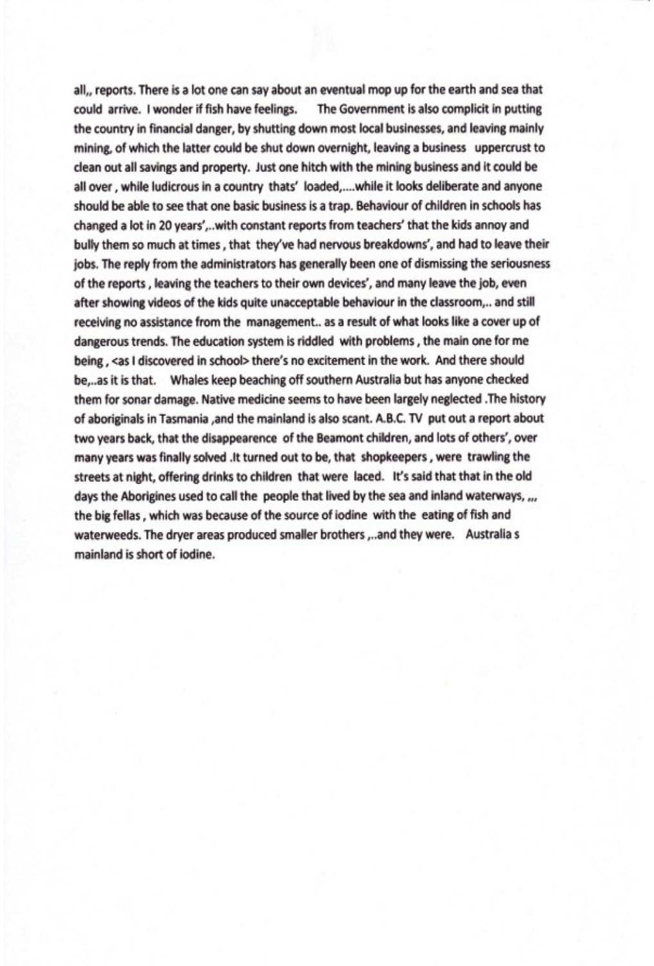all,, reports. There is a lot one can say about an eventual mop up for the earth and sea that could arrive. I wonder if fish have feelings. The Government is also complicit in putting the country in financial danger, by shutting down most local businesses, and leaving mainly mining, of which the latter could be shut down overnight, leaving a business uppercrust to clean out all savings and property. Just one hitch with the mining business and it could be all over, while ludicrous in a country thats' loaded,....while it looks deliberate and anyone should be able to see that one basic business is a trap. Behaviour of children in schools has changed a lot in 20 years',..with constant reports from teachers' that the kids annoy and bully them so much at times, that they've had nervous breakdowns', and had to leave their jobs. The reply from the administrators has generally been one of dismissing the seriousness of the reports, leaving the teachers to their own devices', and many leave the job, even after showing videos of the kids quite unacceptable behaviour in the classroom,.. and still receiving no assistance from the management.. as a result of what looks like a cover up of dangerous trends. The education system is riddled with problems, the main one for me being, <as I discovered in school> there's no excitement in the work. And there should be...as it is that. Whales keep beaching off southern Australia but has anyone checked them for sonar damage. Native medicine seems to have been largely neglected . The history of aboriginals in Tasmania ,and the mainland is also scant. A.B.C. TV put out a report about two years back, that the disappearence of the Beamont children, and lots of others', over many years was finally solved .It turned out to be, that shopkeepers, were trawling the streets at night, offering drinks to children that were laced. It's said that that in the old days the Aborigines used to call the people that lived by the sea and inland waterways, ,,, the big fellas, which was because of the source of iodine with the eating of fish and waterweeds. The dryer areas produced smaller brothers ,..and they were. Australia s mainland is short of jodine.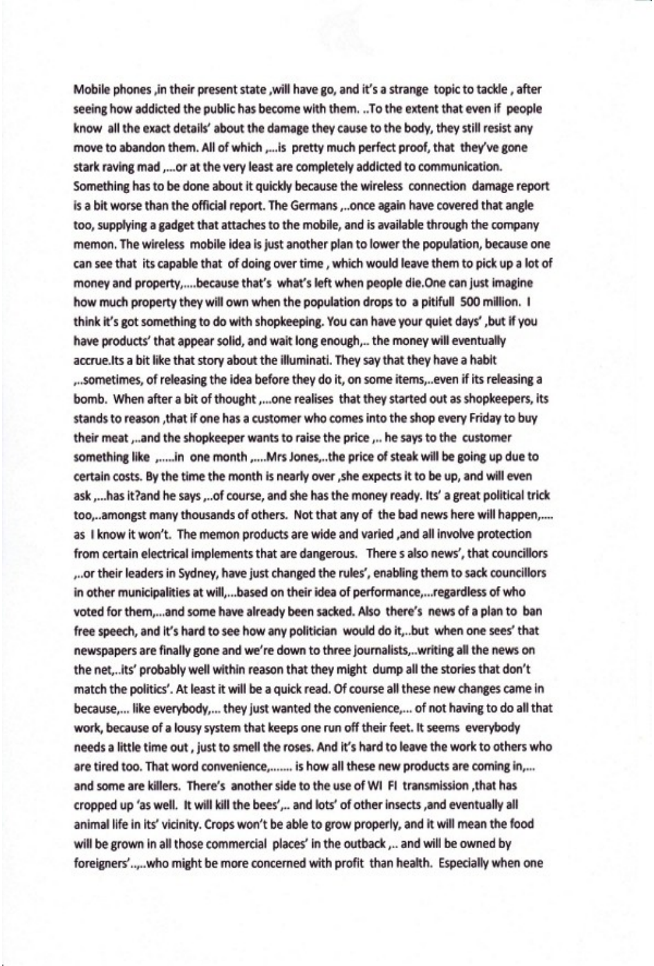Mobile phones ,in their present state ,will have go, and it's a strange topic to tackle, after seeing how addicted the public has become with them. ..To the extent that even if people know all the exact details' about the damage they cause to the body, they still resist any move to abandon them. All of which ,... is pretty much perfect proof, that they've gone stark raving mad ,...or at the very least are completely addicted to communication. Something has to be done about it quickly because the wireless connection damage report is a bit worse than the official report. The Germans ...once again have covered that angle too, supplying a gadget that attaches to the mobile, and is available through the company memon. The wireless mobile idea is just another plan to lower the population, because one can see that its capable that of doing over time, which would leave them to pick up a lot of money and property,....because that's what's left when people die.One can just imagine how much property they will own when the population drops to a pitifull 500 million. I think it's got something to do with shopkeeping. You can have your quiet days', but if you have products' that appear solid, and wait long enough,.. the money will eventually accrue.Its a bit like that story about the illuminati. They say that they have a habit sometimes, of releasing the idea before they do it, on some items,..even if its releasing a. bomb. When after a bit of thought ,...one realises that they started out as shopkeepers, its stands to reason , that if one has a customer who comes into the shop every Friday to buy their meat ,..and the shopkeeper wants to raise the price ,.. he says to the customer something like ,.....in one month ,....Mrs Jones,..the price of steak will be going up due to certain costs. By the time the month is nearly over , she expects it to be up, and will even ask ,...has it?and he says ,..of course, and she has the money ready. Its' a great political trick too,..amongst many thousands of others. Not that any of the bad news here will happen,.... as I know it won't. The memon products are wide and varied ,and all involve protection from certain electrical implements that are dangerous. There s also news', that councillors ... or their leaders in Sydney, have just changed the rules', enabling them to sack councillors in other municipalities at will,...based on their idea of performance,...regardless of who voted for them,...and some have already been sacked. Also there's news of a plan to ban free speech, and it's hard to see how any politician would do it,..but when one sees' that newspapers are finally gone and we're down to three journalists,..writing all the news on the net,..its' probably well within reason that they might dump all the stories that don't match the politics'. At least it will be a quick read. Of course all these new changes came in because,... like everybody,... they just wanted the convenience,... of not having to do all that work, because of a lousy system that keeps one run off their feet. It seems everybody needs a little time out, just to smell the roses. And it's hard to leave the work to others who are tired too. That word convenience,....... is how all these new products are coming in,... and some are killers. There's another side to the use of WI FI transmission , that has cropped up 'as well. It will kill the bees',.. and lots' of other insects , and eventually all animal life in its' vicinity. Crops won't be able to grow properly, and it will mean the food will be grown in all those commercial places' in the outback ,.. and will be owned by foreigners'.....who might be more concerned with profit than health. Especially when one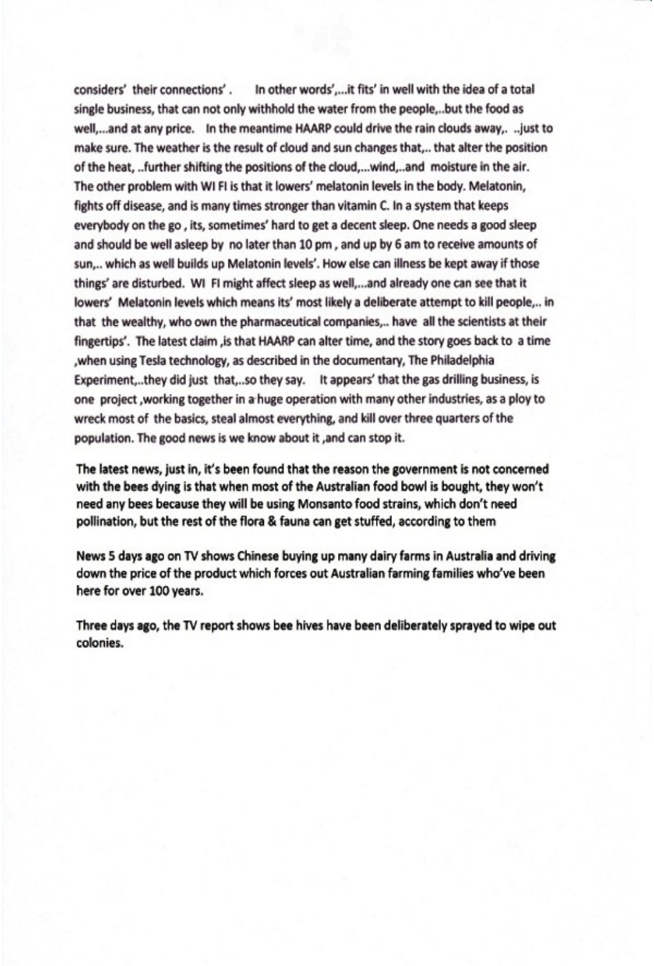considers' their connections'. In other words',...it fits' in well with the idea of a total single business, that can not only withhold the water from the people,..but the food as well,...and at any price. In the meantime HAARP could drive the rain clouds away,. ..just to make sure. The weather is the result of cloud and sun changes that,.. that alter the position of the heat, ..further shifting the positions of the cloud,...wind,..and moisture in the air. The other problem with WI FI is that it lowers' melatonin levels in the body. Melatonin, fights off disease, and is many times stronger than vitamin C. In a system that keeps everybody on the go, its, sometimes' hard to get a decent sleep. One needs a good sleep and should be well asleep by no later than 10 pm, and up by 6 am to receive amounts of sun,.. which as well builds up Melatonin levels'. How else can illness be kept away if those things' are disturbed. WI FI might affect sleep as well,...and already one can see that it lowers' Melatonin levels which means its' most likely a deliberate attempt to kill people,.. in that the wealthy, who own the pharmaceutical companies,.. have all the scientists at their fingertips'. The latest claim , is that HAARP can alter time, and the story goes back to a time , when using Tesla technology, as described in the documentary, The Philadelphia Experiment,..they did just that,..so they say. It appears' that the gas drilling business, is one project, working together in a huge operation with many other industries, as a ploy to wreck most of the basics, steal almost everything, and kill over three quarters of the population. The good news is we know about it , and can stop it.

The latest news, just in, it's been found that the reason the government is not concerned with the bees dying is that when most of the Australian food bowl is bought, they won't need any bees because they will be using Monsanto food strains, which don't need pollination, but the rest of the flora & fauna can get stuffed, according to them

News 5 days ago on TV shows Chinese buying up many dairy farms in Australia and driving down the price of the product which forces out Australian farming families who've been here for over 100 years.

Three days ago, the TV report shows bee hives have been deliberately sprayed to wipe out colonies.